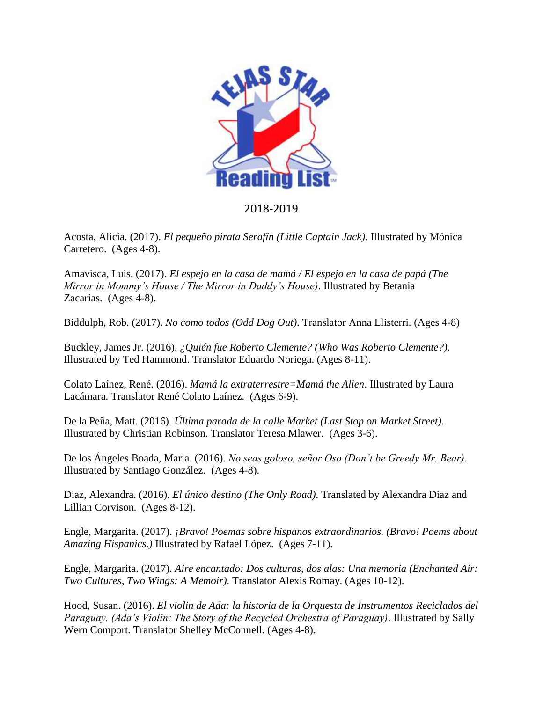

## 2018-2019

Acosta, Alicia. (2017). *El pequeño pirata Serafín (Little Captain Jack)*. Illustrated by Mónica Carretero. (Ages 4-8).

Amavisca, Luis. (2017). *El espejo en la casa de mamá / El espejo en la casa de papá (The Mirror in Mommy's House / The Mirror in Daddy's House)*. Illustrated by Betania Zacarias. (Ages 4-8).

Biddulph, Rob. (2017). *No como todos (Odd Dog Out)*. Translator Anna Llisterri. (Ages 4-8)

Buckley, James Jr. (2016). *¿Quién fue Roberto Clemente? (Who Was Roberto Clemente?)*. Illustrated by Ted Hammond. Translator Eduardo Noriega. (Ages 8-11).

Colato Laínez, René. (2016). *Mamá la extraterrestre=Mamá the Alien*. Illustrated by Laura Lacámara. Translator René Colato Laínez. (Ages 6-9).

De la Peña, Matt. (2016). *Última parada de la calle Market (Last Stop on Market Street)*. Illustrated by Christian Robinson. Translator Teresa Mlawer. (Ages 3-6).

De los Ángeles Boada, Maria. (2016). *No seas goloso, señor Oso (Don't be Greedy Mr. Bear)*. Illustrated by Santiago González. (Ages 4-8).

Diaz, Alexandra. (2016). *El único destino (The Only Road)*. Translated by Alexandra Diaz and Lillian Corvison. (Ages 8-12).

Engle, Margarita. (2017). *¡Bravo! Poemas sobre hispanos extraordinarios. (Bravo! Poems about Amazing Hispanics.)* Illustrated by Rafael López. (Ages 7-11).

Engle, Margarita. (2017). *Aire encantado: Dos culturas, dos alas: Una memoria (Enchanted Air: Two Cultures, Two Wings: A Memoir)*. Translator Alexis Romay. (Ages 10-12).

Hood, Susan. (2016). *El violin de Ada: la historia de la Orquesta de Instrumentos Reciclados del Paraguay. (Ada's Violin: The Story of the Recycled Orchestra of Paraguay)*. Illustrated by Sally Wern Comport. Translator Shelley McConnell. (Ages 4-8).